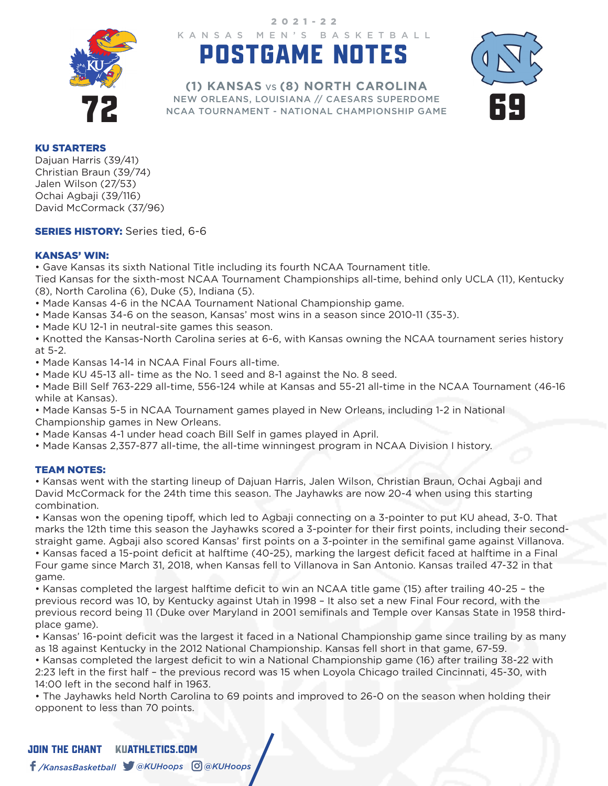

KANSAS MEN'S BASKETBALL 2021-22

# POSTGAME NOTES



NEW ORLEANS, LOUISIANA // CAESARS SUPERDOME<br>NCAA TOURNAMENT - NATIONAL CHAMPIONSHIP GAME **(1) KANSAS** VS **(8) NORTH CAROLINA** NEW ORLEANS, LOUISIANA // CAESARS SUPERDOME NCAA TOURNAMENT - NATIONAL CHAMPIONSHIP GAME

#### KU STARTERS

Dajuan Harris (39/41) Christian Braun (39/74) Jalen Wilson (27/53) Ochai Agbaji (39/116) David McCormack (37/96)

**SERIES HISTORY:** Series tied, 6-6

### KANSAS' WIN:

• Gave Kansas its sixth National Title including its fourth NCAA Tournament title.

Tied Kansas for the sixth-most NCAA Tournament Championships all-time, behind only UCLA (11), Kentucky (8), North Carolina (6), Duke (5), Indiana (5).

- Made Kansas 4-6 in the NCAA Tournament National Championship game.
- Made Kansas 34-6 on the season, Kansas' most wins in a season since 2010-11 (35-3).
- Made KU 12-1 in neutral-site games this season.

• Knotted the Kansas-North Carolina series at 6-6, with Kansas owning the NCAA tournament series history at 5-2.

- Made Kansas 14-14 in NCAA Final Fours all-time.
- Made KU 45-13 all- time as the No. 1 seed and 8-1 against the No. 8 seed.

• Made Bill Self 763-229 all-time, 556-124 while at Kansas and 55-21 all-time in the NCAA Tournament (46-16 while at Kansas).

• Made Kansas 5-5 in NCAA Tournament games played in New Orleans, including 1-2 in National Championship games in New Orleans.

• Made Kansas 4-1 under head coach Bill Self in games played in April.

• Made Kansas 2,357-877 all-time, the all-time winningest program in NCAA Division I history.

### TEAM NOTES:

• Kansas went with the starting lineup of Dajuan Harris, Jalen Wilson, Christian Braun, Ochai Agbaji and David McCormack for the 24th time this season. The Jayhawks are now 20-4 when using this starting combination.

• Kansas won the opening tipoff, which led to Agbaji connecting on a 3-pointer to put KU ahead, 3-0. That marks the 12th time this season the Jayhawks scored a 3-pointer for their first points, including their secondstraight game. Agbaji also scored Kansas' first points on a 3-pointer in the semifinal game against Villanova. • Kansas faced a 15-point deficit at halftime (40-25), marking the largest deficit faced at halftime in a Final Four game since March 31, 2018, when Kansas fell to Villanova in San Antonio. Kansas trailed 47-32 in that game.

• Kansas completed the largest halftime deficit to win an NCAA title game (15) after trailing 40-25 - the previous record was 10, by Kentucky against Utah in 1998 – It also set a new Final Four record, with the previous record being 11 (Duke over Maryland in 2001 semifinals and Temple over Kansas State in 1958 thirdplace game).

• Kansas' 16-point deficit was the largest it faced in a National Championship game since trailing by as many as 18 against Kentucky in the 2012 National Championship. Kansas fell short in that game, 67-59.

• Kansas completed the largest deficit to win a National Championship game (16) after trailing 38-22 with 2:23 left in the first half – the previous record was 15 when Loyola Chicago trailed Cincinnati, 45-30, with 14:00 left in the second half in 1963.

• The Jayhawks held North Carolina to 69 points and improved to 26-0 on the season when holding their opponent to less than 70 points.